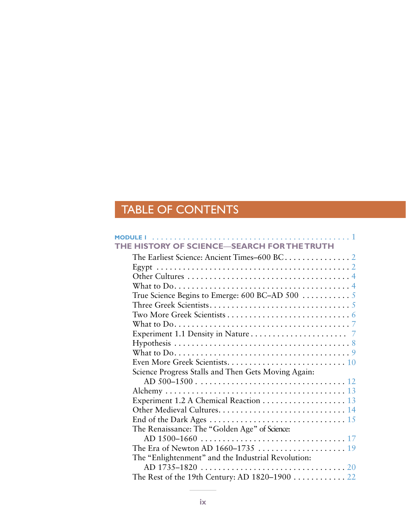## TABLE OF CONTENTS

| <code>MODULE</code> $1$ $\ldots$ $\ldots$ $\ldots$ $\ldots$ $\ldots$ $\ldots$ $\ldots$ $\ldots$ $\ldots$ $\ldots$ $\ldots$ $\ldots$ $\ldots$ $\ldots$ |  |
|-------------------------------------------------------------------------------------------------------------------------------------------------------|--|
| HE HISTORY OF SCIENCE-SEARCH FOR THE TRUTH                                                                                                            |  |
|                                                                                                                                                       |  |
|                                                                                                                                                       |  |
|                                                                                                                                                       |  |
| What to $Do. \ldots \ldots \ldots \ldots \ldots \ldots \ldots \ldots \ldots \ldots \ldots \ldots \ldots 4$                                            |  |
| True Science Begins to Emerge: $600$ BC-AD $500$                                                                                                      |  |
|                                                                                                                                                       |  |
|                                                                                                                                                       |  |
|                                                                                                                                                       |  |
|                                                                                                                                                       |  |
|                                                                                                                                                       |  |
|                                                                                                                                                       |  |
|                                                                                                                                                       |  |
| Science Progress Stalls and Then Gets Moving Again:                                                                                                   |  |
|                                                                                                                                                       |  |
|                                                                                                                                                       |  |
| Experiment 1.2 A Chemical Reaction $\ldots \ldots \ldots \ldots \ldots \ldots$ 13                                                                     |  |
|                                                                                                                                                       |  |
|                                                                                                                                                       |  |
| The Renaissance: The "Golden Age" of Science:                                                                                                         |  |
|                                                                                                                                                       |  |
|                                                                                                                                                       |  |
| The "Enlightenment" and the Industrial Revolution:                                                                                                    |  |
|                                                                                                                                                       |  |
| The Rest of the 19th Century: AD 1820-1900  22                                                                                                        |  |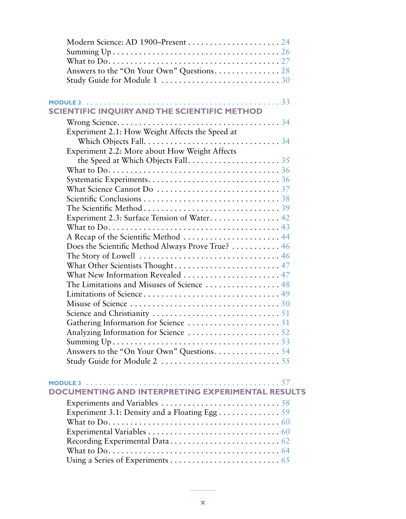| Modern Science: AD 1900-Present  24                                                                         |
|-------------------------------------------------------------------------------------------------------------|
|                                                                                                             |
|                                                                                                             |
| Answers to the "On Your Own" Questions. 28                                                                  |
|                                                                                                             |
|                                                                                                             |
|                                                                                                             |
| SCIENTIFIC INQUIRY AND THE SCIENTIFIC METHOD                                                                |
|                                                                                                             |
| Experiment 2.1: How Weight Affects the Speed at                                                             |
| Which Objects Fall. $\dots \dots \dots \dots \dots \dots \dots \dots \dots \dots \dots$                     |
| Experiment 2.2: More about How Weight Affects                                                               |
|                                                                                                             |
|                                                                                                             |
|                                                                                                             |
|                                                                                                             |
|                                                                                                             |
|                                                                                                             |
|                                                                                                             |
| Experiment 2.3: Surface Tension of Water 42                                                                 |
|                                                                                                             |
| A Recap of the Scientific Method  44                                                                        |
| Does the Scientific Method Always Prove True?  46                                                           |
| The Story of Lowell $\ldots \ldots \ldots \ldots \ldots \ldots \ldots \ldots \ldots \ldots \ldots \cdot 46$ |
| What Other Scientists Thought 47                                                                            |
| What New Information Revealed 47                                                                            |
| The Limitations and Misuses of Science  48                                                                  |
|                                                                                                             |
|                                                                                                             |
|                                                                                                             |
|                                                                                                             |
|                                                                                                             |
|                                                                                                             |
|                                                                                                             |
|                                                                                                             |
|                                                                                                             |
|                                                                                                             |
| DOCUMENTING AND INTERPRETING EXPERIMENTAL RESULTS                                                           |
|                                                                                                             |
|                                                                                                             |
|                                                                                                             |
|                                                                                                             |
|                                                                                                             |
|                                                                                                             |
|                                                                                                             |
|                                                                                                             |
|                                                                                                             |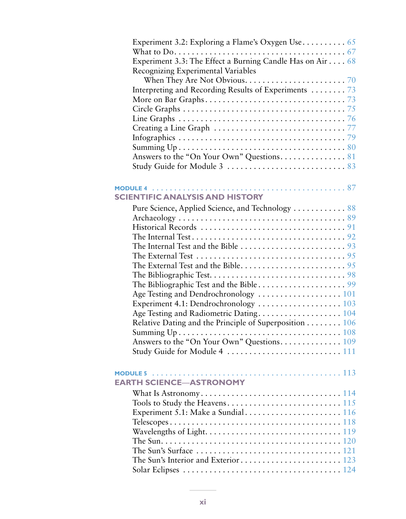|                 | What to $\mathrm{Do.}\dots\dots\dots\dots\dots\dots\dots\dots\dots\dots\dots\dots\dots$                 |  |
|-----------------|---------------------------------------------------------------------------------------------------------|--|
|                 | Experiment 3.3: The Effect a Burning Candle Has on Air 68                                               |  |
|                 | Recognizing Experimental Variables                                                                      |  |
|                 | When They Are Not Obvious. $\ldots \ldots \ldots \ldots \ldots \ldots \ldots \ldots$                    |  |
|                 | Interpreting and Recording Results of Experiments 73                                                    |  |
|                 |                                                                                                         |  |
|                 |                                                                                                         |  |
|                 |                                                                                                         |  |
|                 | Creating a Line Graph $\ldots \ldots \ldots \ldots \ldots \ldots \ldots \ldots \ldots \ldots \ldots$    |  |
|                 |                                                                                                         |  |
|                 |                                                                                                         |  |
|                 |                                                                                                         |  |
|                 |                                                                                                         |  |
|                 |                                                                                                         |  |
|                 |                                                                                                         |  |
|                 | <b>SCIENTIFIC ANALYSIS AND HISTORY</b>                                                                  |  |
|                 | Pure Science, Applied Science, and Technology  88                                                       |  |
|                 |                                                                                                         |  |
|                 |                                                                                                         |  |
|                 |                                                                                                         |  |
|                 | The Internal Test and the Bible $\ldots \ldots \ldots \ldots \ldots \ldots \ldots \ldots$               |  |
|                 | The External Test $\ldots \ldots \ldots \ldots \ldots \ldots \ldots \ldots \ldots \ldots \ldots \ldots$ |  |
|                 |                                                                                                         |  |
|                 |                                                                                                         |  |
|                 |                                                                                                         |  |
|                 |                                                                                                         |  |
|                 |                                                                                                         |  |
|                 |                                                                                                         |  |
|                 | Relative Dating and the Principle of Superposition 106                                                  |  |
|                 | Summing Up.                                                                                             |  |
|                 | Answers to the "On Your Own" Questions 109                                                              |  |
|                 |                                                                                                         |  |
|                 |                                                                                                         |  |
| <b>MODULE 5</b> |                                                                                                         |  |
|                 | <b>EARTH SCIENCE-ASTRONOMY</b>                                                                          |  |
|                 |                                                                                                         |  |
|                 |                                                                                                         |  |
|                 |                                                                                                         |  |
|                 |                                                                                                         |  |
|                 |                                                                                                         |  |
|                 |                                                                                                         |  |
|                 |                                                                                                         |  |
|                 |                                                                                                         |  |
|                 |                                                                                                         |  |
|                 |                                                                                                         |  |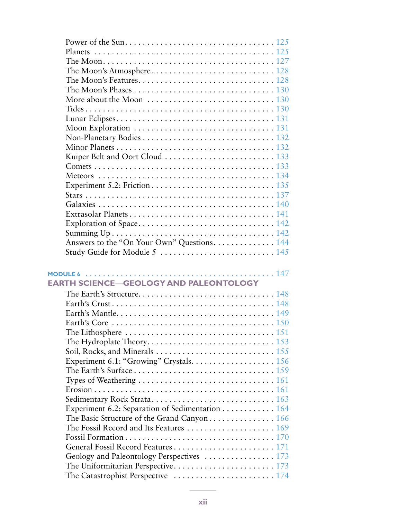| The Moon's Phases $\ldots \ldots \ldots \ldots \ldots \ldots \ldots \ldots \ldots \ldots \ldots 130$                                     |  |
|------------------------------------------------------------------------------------------------------------------------------------------|--|
| More about the Moon $\ldots \ldots \ldots \ldots \ldots \ldots \ldots \ldots \ldots 130$                                                 |  |
|                                                                                                                                          |  |
|                                                                                                                                          |  |
| Moon Exploration $\ldots \ldots \ldots \ldots \ldots \ldots \ldots \ldots \ldots \ldots \ldots 131$                                      |  |
|                                                                                                                                          |  |
|                                                                                                                                          |  |
| Kuiper Belt and Oort Cloud  133                                                                                                          |  |
|                                                                                                                                          |  |
|                                                                                                                                          |  |
|                                                                                                                                          |  |
|                                                                                                                                          |  |
|                                                                                                                                          |  |
|                                                                                                                                          |  |
|                                                                                                                                          |  |
|                                                                                                                                          |  |
|                                                                                                                                          |  |
| Answers to the "On Your Own" Questions 144                                                                                               |  |
|                                                                                                                                          |  |
|                                                                                                                                          |  |
|                                                                                                                                          |  |
| MODULE 6 $\dots\dots\dots\dots\dots\dots\dots\dots\dots\dots\dots\dots\dots\dots\dots$                                                   |  |
| <b>EARTH SCIENCE-GEOLOGY AND PALEONTOLOGY</b>                                                                                            |  |
|                                                                                                                                          |  |
|                                                                                                                                          |  |
|                                                                                                                                          |  |
|                                                                                                                                          |  |
| The Lithosphere $\dots\dots\dots\dots\dots\dots\dots\dots\dots\dots\dots\dots$                                                           |  |
|                                                                                                                                          |  |
|                                                                                                                                          |  |
|                                                                                                                                          |  |
|                                                                                                                                          |  |
|                                                                                                                                          |  |
|                                                                                                                                          |  |
|                                                                                                                                          |  |
| Sedimentary Rock Strata 163                                                                                                              |  |
| Experiment 6.2: Separation of Sedimentation 164                                                                                          |  |
| The Basic Structure of the Grand Canyon 166<br>The Fossil Record and Its Features $\ldots \ldots \ldots \ldots \ldots \ldots \ldots 169$ |  |
|                                                                                                                                          |  |
|                                                                                                                                          |  |
|                                                                                                                                          |  |
| Geology and Paleontology Perspectives $\ldots \ldots \ldots \ldots \ldots 173$                                                           |  |
| The Catastrophist Perspective $\dots \dots \dots \dots \dots \dots \dots \dots \dots \dots 174$                                          |  |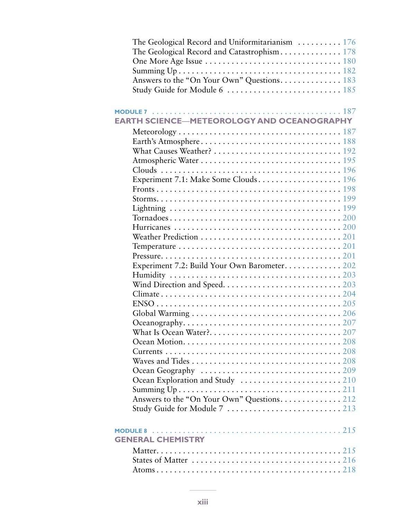| The Geological Record and Uniformitarianism $\ldots \ldots \ldots 176$                           |
|--------------------------------------------------------------------------------------------------|
|                                                                                                  |
|                                                                                                  |
|                                                                                                  |
| Answers to the "On Your Own" Questions 183                                                       |
|                                                                                                  |
|                                                                                                  |
|                                                                                                  |
| <b>EARTH SCIENCE-METEOROLOGY AND OCEANOGRAPHY</b>                                                |
|                                                                                                  |
|                                                                                                  |
|                                                                                                  |
| What Causes Weather? $\ldots \ldots \ldots \ldots \ldots \ldots \ldots \ldots \ldots \ldots 192$ |
|                                                                                                  |
|                                                                                                  |
| Experiment 7.1: Make Some Clouds 196                                                             |
|                                                                                                  |
|                                                                                                  |
|                                                                                                  |
|                                                                                                  |
|                                                                                                  |
| Weather Prediction $\ldots \ldots \ldots \ldots \ldots \ldots \ldots \ldots \ldots \ldots 201$   |
|                                                                                                  |
|                                                                                                  |
| Experiment 7.2: Build Your Own Barometer 202                                                     |
|                                                                                                  |
|                                                                                                  |
|                                                                                                  |
|                                                                                                  |
|                                                                                                  |
|                                                                                                  |
|                                                                                                  |
|                                                                                                  |
|                                                                                                  |
|                                                                                                  |
|                                                                                                  |
|                                                                                                  |
|                                                                                                  |
| Answers to the "On Your Own" Questions 212                                                       |
|                                                                                                  |
|                                                                                                  |
|                                                                                                  |
| <b>GENERAL CHEMISTRY</b>                                                                         |
|                                                                                                  |
|                                                                                                  |
| States of Matter $\dots\dots\dots\dots\dots\dots\dots\dots\dots\dots\dots$ 216                   |
|                                                                                                  |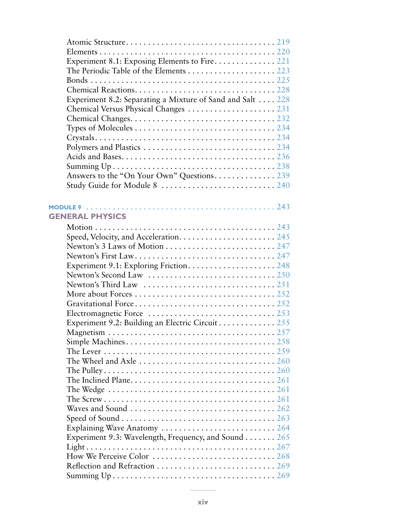| Experiment 8.1: Exposing Elements to Fire 221                                                              |  |
|------------------------------------------------------------------------------------------------------------|--|
| The Periodic Table of the Elements $\dots \dots \dots \dots \dots \dots \dots \dots$                       |  |
|                                                                                                            |  |
|                                                                                                            |  |
| Experiment 8.2: Separating a Mixture of Sand and Salt 228                                                  |  |
|                                                                                                            |  |
|                                                                                                            |  |
| Types of Molecules $\dots\dots\dots\dots\dots\dots\dots\dots\dots\dots\dots 234$                           |  |
|                                                                                                            |  |
|                                                                                                            |  |
|                                                                                                            |  |
|                                                                                                            |  |
| Answers to the "On Your Own" Questions 239                                                                 |  |
|                                                                                                            |  |
|                                                                                                            |  |
|                                                                                                            |  |
| <b>GENERAL PHYSICS</b>                                                                                     |  |
|                                                                                                            |  |
|                                                                                                            |  |
|                                                                                                            |  |
|                                                                                                            |  |
|                                                                                                            |  |
|                                                                                                            |  |
| Newton's Third Law $\ldots \ldots \ldots \ldots \ldots \ldots \ldots \ldots \ldots \ldots 251$             |  |
|                                                                                                            |  |
|                                                                                                            |  |
| Electromagnetic Force $\ldots \ldots \ldots \ldots \ldots \ldots \ldots \ldots \ldots 253$                 |  |
| Experiment 9.2: Building an Electric Circuit 255                                                           |  |
|                                                                                                            |  |
|                                                                                                            |  |
| The Lever $\ldots \ldots \ldots \ldots \ldots \ldots \ldots \ldots \ldots \ldots \ldots \ldots \ldots 259$ |  |
| The Wheel and Axle $\dots\dots\dots\dots\dots\dots\dots\dots\dots\dots260$                                 |  |
|                                                                                                            |  |
|                                                                                                            |  |
| The Wedge $\ldots \ldots \ldots \ldots \ldots \ldots \ldots \ldots \ldots \ldots \ldots \ldots \ldots 261$ |  |
|                                                                                                            |  |
| Waves and Sound $\ldots \ldots \ldots \ldots \ldots \ldots \ldots \ldots \ldots \ldots \ldots 262$         |  |
|                                                                                                            |  |
| Explaining Wave Anatomy  264                                                                               |  |
| Experiment 9.3: Wavelength, Frequency, and Sound 265                                                       |  |
|                                                                                                            |  |
|                                                                                                            |  |
|                                                                                                            |  |
|                                                                                                            |  |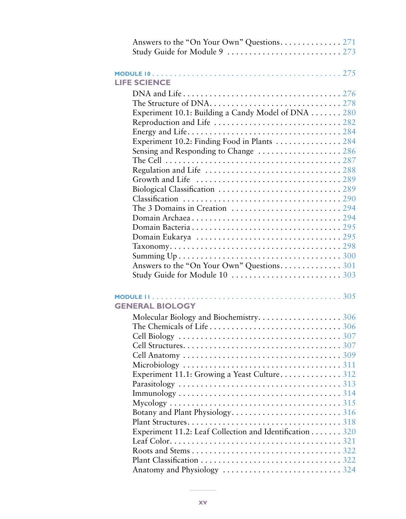| <b>LIFE SCIENCE</b>                                                                                       |  |
|-----------------------------------------------------------------------------------------------------------|--|
|                                                                                                           |  |
|                                                                                                           |  |
| Experiment 10.1: Building a Candy Model of DNA 280                                                        |  |
|                                                                                                           |  |
|                                                                                                           |  |
| Experiment 10.2: Finding Food in Plants  284                                                              |  |
| Sensing and Responding to Change  286                                                                     |  |
| The Cell $\ldots \ldots \ldots \ldots \ldots \ldots \ldots \ldots \ldots \ldots \ldots \ldots \ldots 287$ |  |
|                                                                                                           |  |
|                                                                                                           |  |
|                                                                                                           |  |
|                                                                                                           |  |
|                                                                                                           |  |
|                                                                                                           |  |
|                                                                                                           |  |
|                                                                                                           |  |
|                                                                                                           |  |
|                                                                                                           |  |
|                                                                                                           |  |
|                                                                                                           |  |
|                                                                                                           |  |
|                                                                                                           |  |
| <b>GENERAL BIOLOGY</b>                                                                                    |  |
| Molecular Biology and Biochemistry306                                                                     |  |
|                                                                                                           |  |
|                                                                                                           |  |
|                                                                                                           |  |
|                                                                                                           |  |
|                                                                                                           |  |
| Experiment 11.1: Growing a Yeast Culture 312                                                              |  |
|                                                                                                           |  |
|                                                                                                           |  |
|                                                                                                           |  |
|                                                                                                           |  |
|                                                                                                           |  |
| Experiment 11.2: Leaf Collection and Identification 320                                                   |  |
|                                                                                                           |  |
|                                                                                                           |  |
|                                                                                                           |  |
|                                                                                                           |  |
|                                                                                                           |  |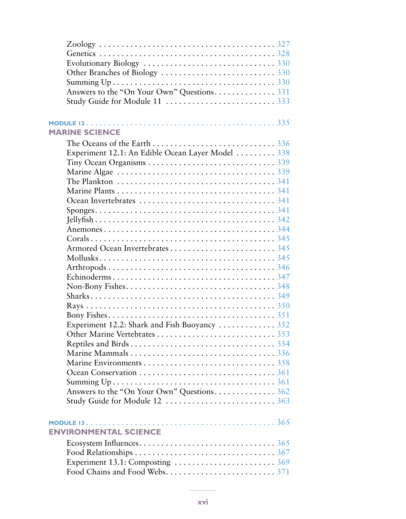| Answers to the "On Your Own" Questions331                                                           |  |
|-----------------------------------------------------------------------------------------------------|--|
| Study Guide for Module 11 333                                                                       |  |
|                                                                                                     |  |
| <b>MARINE SCIENCE</b>                                                                               |  |
|                                                                                                     |  |
| The Oceans of the Earth $\ldots \ldots \ldots \ldots \ldots \ldots \ldots \ldots \ldots \ldots$ 336 |  |
| Experiment 12.1: An Edible Ocean Layer Model  338                                                   |  |
|                                                                                                     |  |
|                                                                                                     |  |
| The Plankton $\ldots \ldots \ldots \ldots \ldots \ldots \ldots \ldots \ldots \ldots \ldots \ldots$  |  |
|                                                                                                     |  |
|                                                                                                     |  |
|                                                                                                     |  |
|                                                                                                     |  |
|                                                                                                     |  |
|                                                                                                     |  |
|                                                                                                     |  |
|                                                                                                     |  |
|                                                                                                     |  |
|                                                                                                     |  |
|                                                                                                     |  |
|                                                                                                     |  |
|                                                                                                     |  |
|                                                                                                     |  |
| Experiment 12.2: Shark and Fish Buoyancy  352                                                       |  |
|                                                                                                     |  |
|                                                                                                     |  |
|                                                                                                     |  |
|                                                                                                     |  |
|                                                                                                     |  |
|                                                                                                     |  |
| Answers to the "On Your Own" Questions 362                                                          |  |
|                                                                                                     |  |
|                                                                                                     |  |
|                                                                                                     |  |
| <b>ENVIRONMENTAL SCIENCE</b>                                                                        |  |
|                                                                                                     |  |
|                                                                                                     |  |
|                                                                                                     |  |
|                                                                                                     |  |